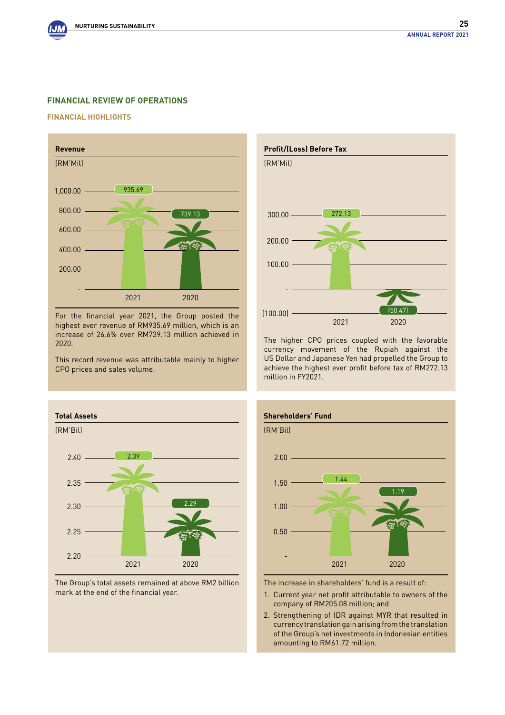# **Financial REVIEW OF OPERATIONS**

#### **Financial Highlights**



For the financial year 2021, the Group posted the highest ever revenue of RM935.69 million, which is an increase of 26.6% over RM739.13 million achieved in 2020.

This record revenue was attributable mainly to higher CPO prices and sales volume.



The Group's total assets remained at above RM2 billion mark at the end of the financial year.



The higher CPO prices coupled with the favorable currency movement of the Rupiah against the US Dollar and Japanese Yen had propelled the Group to achieve the highest ever profit before tax of RM272.13 million in FY2021.



The increase in shareholders' fund is a result of:

- 1. Current year net profit attributable to owners of the company of RM205.08 million; and
- 2. Strengthening of IDR against MYR that resulted in currency translation gain arising from the translation of the Group's net investments in Indonesian entities amounting to RM61.72 million.